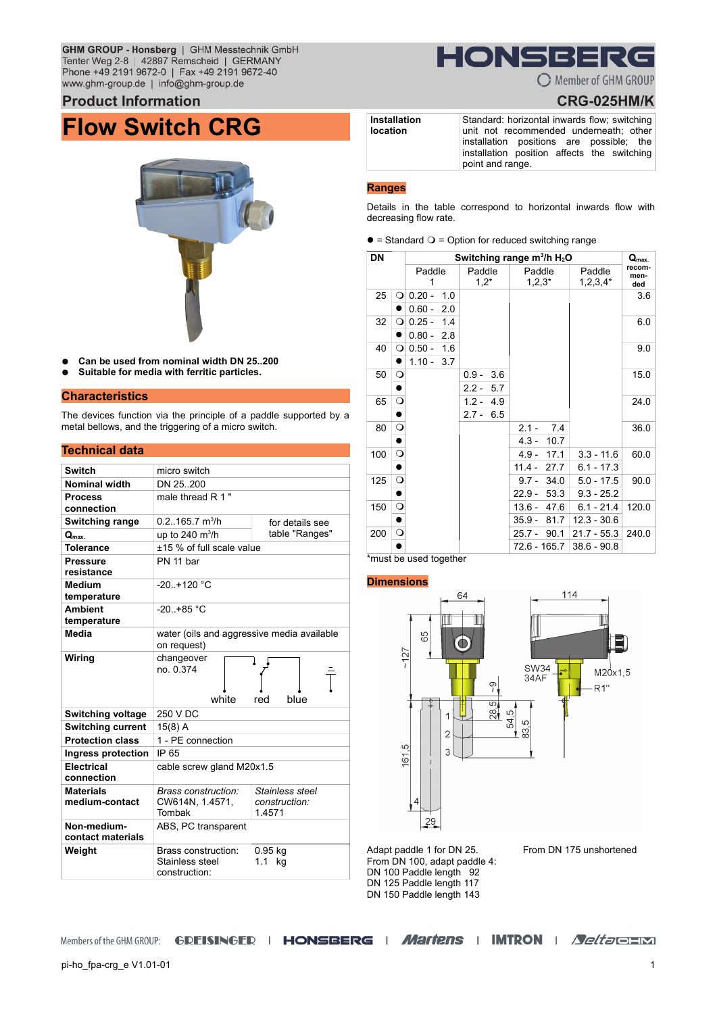GHM GROUP - Honsberg | GHM Messtechnik GmbH Tenter Weg 2-8 | 42897 Remscheid | GERMANY Phone +49 2191 9672-0 | Fax +49 2191 9672-40 www.ghm-group.de | info@ghm-group.de

### **Product Information**

## **Flow Switch CRG**



- **Can be used from nominal width DN 25..200**
- Suitable for media with ferritic particles.

### **Characteristics**

The devices function via the principle of a paddle supported by a metal bellows, and the triggering of a micro switch.

### **Technical data**

| <b>Switch</b>                      | micro switch                                              |                                           |  |
|------------------------------------|-----------------------------------------------------------|-------------------------------------------|--|
| <b>Nominal width</b>               | DN 25 200                                                 |                                           |  |
| <b>Process</b><br>connection       | male thread R 1"                                          |                                           |  |
| <b>Switching range</b>             | $0.2165.7$ m <sup>3</sup> /h                              | for details see                           |  |
| $Q_{\text{max}}$                   | up to 240 $m^3/h$                                         | table "Ranges"                            |  |
| <b>Tolerance</b>                   | +15 % of full scale value                                 |                                           |  |
| Pressure<br>resistance             | PN 11 har                                                 |                                           |  |
| <b>Medium</b><br>temperature       | $-20 + 120$ °C                                            |                                           |  |
| <b>Ambient</b><br>temperature      | $-20 + 85$ °C                                             |                                           |  |
| Media                              | water (oils and aggressive media available<br>on request) |                                           |  |
| Wiring                             | changeover<br>no. 0.374<br>white                          | red<br>blue                               |  |
| <b>Switching voltage</b>           | 250 V DC                                                  |                                           |  |
| <b>Switching current</b>           | $15(8)$ A                                                 |                                           |  |
| <b>Protection class</b>            | 1 - PE connection                                         |                                           |  |
| Ingress protection                 | IP 65                                                     |                                           |  |
| <b>Electrical</b><br>connection    | cable screw gland M20x1.5                                 |                                           |  |
| <b>Materials</b><br>medium-contact | Brass construction:<br>CW614N, 1.4571,<br>Tombak          | Stainless steel<br>construction:<br>14571 |  |
| Non-medium-<br>contact materials   | ABS, PC transparent                                       |                                           |  |
| Weight                             | Brass construction:<br>Stainless steel<br>construction:   | $0.95$ kg<br>1.1<br>kq                    |  |

# IONSBE

C Member of GHM GROUP

## **CRG-025HM/K**

**Installation location** Standard: horizontal inwards flow; switching unit not recommended underneath; other installation positions are possible; the installation position affects the switching point and range.

### **Ranges**

Details in the table correspond to horizontal inwards flow with decreasing flow rate.

 $\bullet$  = Standard  $\circ$  = Option for reduced switching range

| <b>DN</b> |         | Switching range $m^3/h H_2O$ |     |                   |     |                    |      | $Q_{\text{max}}$     |                       |
|-----------|---------|------------------------------|-----|-------------------|-----|--------------------|------|----------------------|-----------------------|
|           |         | Paddle<br>1                  |     | Paddle<br>$1,2^*$ |     | Paddle<br>$1,2,3*$ |      | Paddle<br>$1,2,3,4*$ | recom-<br>men-<br>ded |
| 25        | O       | $0.20 -$                     | 1.0 |                   |     |                    |      |                      | 3.6                   |
|           |         | $0.60 -$                     | 2.0 |                   |     |                    |      |                      |                       |
| 32        | O       | $0.25 -$                     | 1.4 |                   |     |                    |      |                      | 6.0                   |
|           |         | $0.80 -$                     | 2.8 |                   |     |                    |      |                      |                       |
| 40        | О       | $0.50 -$                     | 1.6 |                   |     |                    |      |                      | 9.0                   |
|           |         | 1.10 -                       | 3.7 |                   |     |                    |      |                      |                       |
| 50        | O       |                              |     | $0.9 -$           | 3.6 |                    |      |                      | 15.0                  |
|           |         |                              |     | $2.2 -$           | 5.7 |                    |      |                      |                       |
| 65        | O       |                              |     | $1.2 -$           | 4.9 |                    |      |                      | 24.0                  |
|           |         |                              |     | $2.7 -$           | 6.5 |                    |      |                      |                       |
| 80        | $\circ$ |                              |     |                   |     | $2.1 -$            | 74   |                      | 36.0                  |
|           |         |                              |     |                   |     | $4.3 -$            | 10.7 |                      |                       |
| 100       | $\circ$ |                              |     |                   |     | $4.9 -$            | 17.1 | $3.3 - 11.6$         | 60.0                  |
|           |         |                              |     |                   |     | $11.4 -$           | 27.7 | $6.1 - 17.3$         |                       |
| 125       | $\circ$ |                              |     |                   |     | 9.7 -              | 34.0 | $5.0 - 17.5$         | 90.0                  |
|           |         |                              |     |                   |     | $22.9 -$           | 53.3 | $9.3 - 25.2$         |                       |
| 150       | $\circ$ |                              |     |                   |     | $13.6 -$           | 47.6 | $6.1 - 21.4$         | 120.0                 |
|           |         |                              |     |                   |     | $35.9 -$           | 81.7 | $12.3 - 30.6$        |                       |
| 200       | $\circ$ |                              |     |                   |     | $25.7 -$           | 90.1 | $21.7 - 55.3$        | 240.0                 |
|           |         |                              |     |                   |     | 72.6 - 165.7       |      | $38.6 - 90.8$        |                       |

### \*must be used together

### **Dimensions**



Adapt paddle 1 for DN 25. From DN 100, adapt paddle 4: DN 100 Paddle length 92 DN 125 Paddle length 117 DN 150 Paddle length 143

### From DN 175 unshortened

Members of the GHM GROUP: GREISINGER | HONSBERG | Martens | IMTRON | Seltao = M

pi-ho\_fpa-crg\_e V1.01-01 1